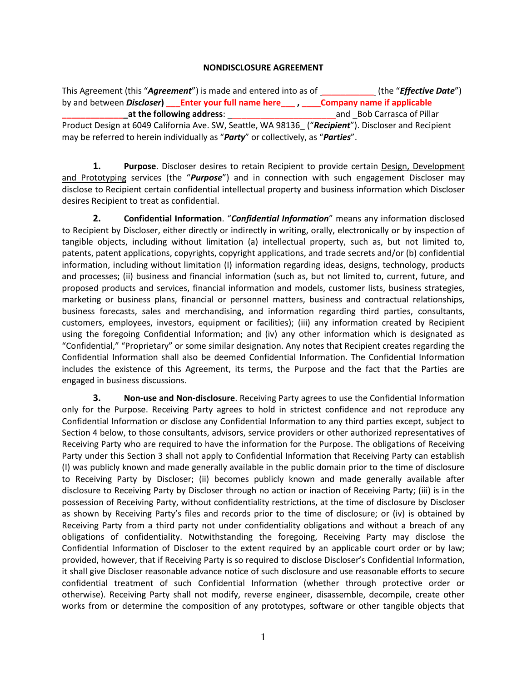## **NONDISCLOSURE AGREEMENT**

This Agreement (this "*Agreement*") is made and entered into as of \_\_\_\_\_\_\_\_\_\_\_ (the "*Effective Date*") by and between *Discloser***) \_\_\_Enter your full name here\_\_\_ , \_\_\_\_Company name if applicable at the following address:**  $\qquad \qquad$  and  $\qquad$  Bob Carrasca of Pillar Product Design at 6049 California Ave. SW, Seattle, WA 98136\_ ("*Recipient*"). Discloser and Recipient may be referred to herein individually as "*Party*" or collectively, as "*Parties*".

**1. Purpose**. Discloser desires to retain Recipient to provide certain Design, Development and Prototyping services (the "*Purpose*") and in connection with such engagement Discloser may disclose to Recipient certain confidential intellectual property and business information which Discloser desires Recipient to treat as confidential.

**2. Confidential Information**. "*Confidential Information*" means any information disclosed to Recipient by Discloser, either directly or indirectly in writing, orally, electronically or by inspection of tangible objects, including without limitation (a) intellectual property, such as, but not limited to, patents, patent applications, copyrights, copyright applications, and trade secrets and/or (b) confidential information, including without limitation (I) information regarding ideas, designs, technology, products and processes; (ii) business and financial information (such as, but not limited to, current, future, and proposed products and services, financial information and models, customer lists, business strategies, marketing or business plans, financial or personnel matters, business and contractual relationships, business forecasts, sales and merchandising, and information regarding third parties, consultants, customers, employees, investors, equipment or facilities); (iii) any information created by Recipient using the foregoing Confidential Information; and (iv) any other information which is designated as "Confidential," "Proprietary" or some similar designation. Any notes that Recipient creates regarding the Confidential Information shall also be deemed Confidential Information. The Confidential Information includes the existence of this Agreement, its terms, the Purpose and the fact that the Parties are engaged in business discussions.

**3. Non-use and Non-disclosure**. Receiving Party agrees to use the Confidential Information only for the Purpose. Receiving Party agrees to hold in strictest confidence and not reproduce any Confidential Information or disclose any Confidential Information to any third parties except, subject to Section 4 below, to those consultants, advisors, service providers or other authorized representatives of Receiving Party who are required to have the information for the Purpose. The obligations of Receiving Party under this Section 3 shall not apply to Confidential Information that Receiving Party can establish (I) was publicly known and made generally available in the public domain prior to the time of disclosure to Receiving Party by Discloser; (ii) becomes publicly known and made generally available after disclosure to Receiving Party by Discloser through no action or inaction of Receiving Party; (iii) is in the possession of Receiving Party, without confidentiality restrictions, at the time of disclosure by Discloser as shown by Receiving Party's files and records prior to the time of disclosure; or (iv) is obtained by Receiving Party from a third party not under confidentiality obligations and without a breach of any obligations of confidentiality. Notwithstanding the foregoing, Receiving Party may disclose the Confidential Information of Discloser to the extent required by an applicable court order or by law; provided, however, that if Receiving Party is so required to disclose Discloser's Confidential Information, it shall give Discloser reasonable advance notice of such disclosure and use reasonable efforts to secure confidential treatment of such Confidential Information (whether through protective order or otherwise). Receiving Party shall not modify, reverse engineer, disassemble, decompile, create other works from or determine the composition of any prototypes, software or other tangible objects that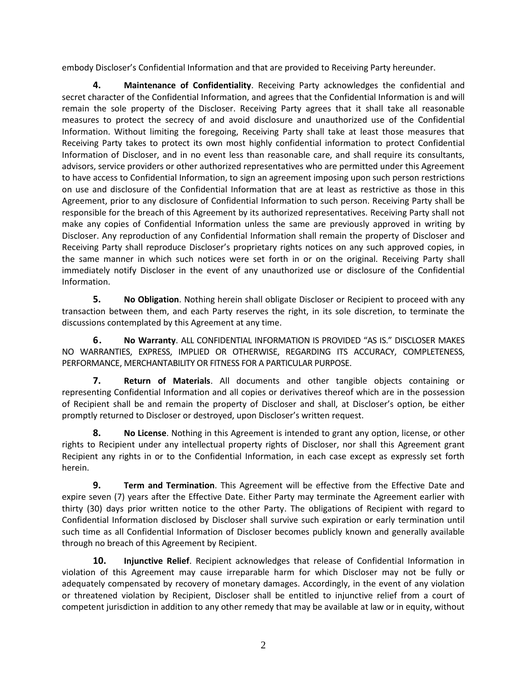embody Discloser's Confidential Information and that are provided to Receiving Party hereunder.

**4. Maintenance of Confidentiality**. Receiving Party acknowledges the confidential and secret character of the Confidential Information, and agrees that the Confidential Information is and will remain the sole property of the Discloser. Receiving Party agrees that it shall take all reasonable measures to protect the secrecy of and avoid disclosure and unauthorized use of the Confidential Information. Without limiting the foregoing, Receiving Party shall take at least those measures that Receiving Party takes to protect its own most highly confidential information to protect Confidential Information of Discloser, and in no event less than reasonable care, and shall require its consultants, advisors, service providers or other authorized representatives who are permitted under this Agreement to have access to Confidential Information, to sign an agreement imposing upon such person restrictions on use and disclosure of the Confidential Information that are at least as restrictive as those in this Agreement, prior to any disclosure of Confidential Information to such person. Receiving Party shall be responsible for the breach of this Agreement by its authorized representatives. Receiving Party shall not make any copies of Confidential Information unless the same are previously approved in writing by Discloser. Any reproduction of any Confidential Information shall remain the property of Discloser and Receiving Party shall reproduce Discloser's proprietary rights notices on any such approved copies, in the same manner in which such notices were set forth in or on the original. Receiving Party shall immediately notify Discloser in the event of any unauthorized use or disclosure of the Confidential Information.

**5. No Obligation**. Nothing herein shall obligate Discloser or Recipient to proceed with any transaction between them, and each Party reserves the right, in its sole discretion, to terminate the discussions contemplated by this Agreement at any time.

**6. No Warranty**. ALL CONFIDENTIAL INFORMATION IS PROVIDED "AS IS." DISCLOSER MAKES NO WARRANTIES, EXPRESS, IMPLIED OR OTHERWISE, REGARDING ITS ACCURACY, COMPLETENESS, PERFORMANCE, MERCHANTABILITY OR FITNESS FOR A PARTICULAR PURPOSE.

**7. Return of Materials**. All documents and other tangible objects containing or representing Confidential Information and all copies or derivatives thereof which are in the possession of Recipient shall be and remain the property of Discloser and shall, at Discloser's option, be either promptly returned to Discloser or destroyed, upon Discloser's written request.

**8. No License**. Nothing in this Agreement is intended to grant any option, license, or other rights to Recipient under any intellectual property rights of Discloser, nor shall this Agreement grant Recipient any rights in or to the Confidential Information, in each case except as expressly set forth herein.

**9. Term and Termination**. This Agreement will be effective from the Effective Date and expire seven (7) years after the Effective Date. Either Party may terminate the Agreement earlier with thirty (30) days prior written notice to the other Party. The obligations of Recipient with regard to Confidential Information disclosed by Discloser shall survive such expiration or early termination until such time as all Confidential Information of Discloser becomes publicly known and generally available through no breach of this Agreement by Recipient.

**10. Injunctive Relief**. Recipient acknowledges that release of Confidential Information in violation of this Agreement may cause irreparable harm for which Discloser may not be fully or adequately compensated by recovery of monetary damages. Accordingly, in the event of any violation or threatened violation by Recipient, Discloser shall be entitled to injunctive relief from a court of competent jurisdiction in addition to any other remedy that may be available at law or in equity, without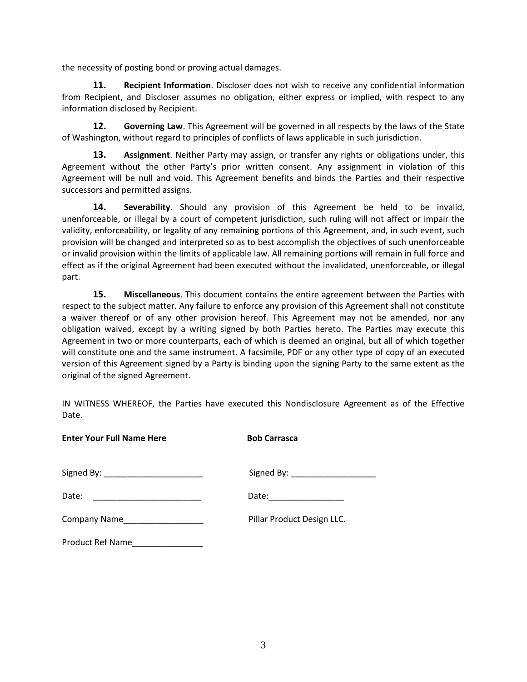the necessity of posting bond or proving actual damages.

**11. Recipient Information**. Discloser does not wish to receive any confidential information from Recipient, and Discloser assumes no obligation, either express or implied, with respect to any information disclosed by Recipient.

**12. Governing Law**. This Agreement will be governed in all respects by the laws of the State of Washington, without regard to principles of conflicts of laws applicable in such jurisdiction.

**13. Assignment**. Neither Party may assign, or transfer any rights or obligations under, this Agreement without the other Party's prior written consent. Any assignment in violation of this Agreement will be null and void. This Agreement benefits and binds the Parties and their respective successors and permitted assigns.

**14. Severability**. Should any provision of this Agreement be held to be invalid, unenforceable, or illegal by a court of competent jurisdiction, such ruling will not affect or impair the validity, enforceability, or legality of any remaining portions of this Agreement, and, in such event, such provision will be changed and interpreted so as to best accomplish the objectives of such unenforceable or invalid provision within the limits of applicable law. All remaining portions will remain in full force and effect as if the original Agreement had been executed without the invalidated, unenforceable, or illegal part.

**15. Miscellaneous**. This document contains the entire agreement between the Parties with respect to the subject matter. Any failure to enforce any provision of this Agreement shall not constitute a waiver thereof or of any other provision hereof. This Agreement may not be amended, nor any obligation waived, except by a writing signed by both Parties hereto. The Parties may execute this Agreement in two or more counterparts, each of which is deemed an original, but all of which together will constitute one and the same instrument. A facsimile, PDF or any other type of copy of an executed version of this Agreement signed by a Party is binding upon the signing Party to the same extent as the original of the signed Agreement.

IN WITNESS WHEREOF, the Parties have executed this Nondisclosure Agreement as of the Effective Date.

| <b>Enter Your Full Name Here</b>     | <b>Bob Carrasca</b>                                                                                  |
|--------------------------------------|------------------------------------------------------------------------------------------------------|
| Signed By: _________________________ | Signed By: ________________________                                                                  |
|                                      | Date: 2008 - 2010 - 2021 - 2022 - 2022 - 2022 - 2022 - 2022 - 2022 - 2022 - 2022 - 2022 - 2022 - 202 |
| Company Name__________________       | Pillar Product Design LLC.                                                                           |
| Product Ref Name                     |                                                                                                      |